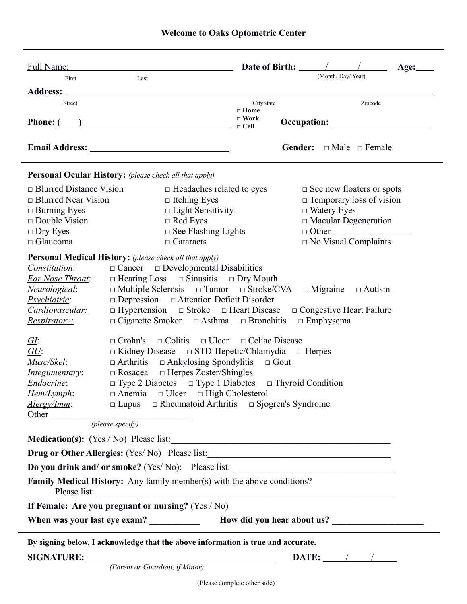| First                          |                                                                                                                                                             |                            | Date of Birth: $\frac{\sqrt{2}}{2}$<br>Age:         |
|--------------------------------|-------------------------------------------------------------------------------------------------------------------------------------------------------------|----------------------------|-----------------------------------------------------|
|                                | Last                                                                                                                                                        |                            | (Month/Day/Year)                                    |
|                                |                                                                                                                                                             |                            |                                                     |
| Street                         |                                                                                                                                                             | CityState<br>$\Box$ Home   | Zipcode                                             |
|                                | Phone: $\qquad \qquad$ $)$                                                                                                                                  | $\Box$ Work<br>$\Box$ Cell |                                                     |
|                                |                                                                                                                                                             |                            |                                                     |
|                                |                                                                                                                                                             |                            | <b>Gender:</b> $\Box$ Male $\Box$ Female            |
|                                | Personal Ocular History: (please check all that apply)                                                                                                      |                            |                                                     |
| $\Box$ Blurred Distance Vision | $\Box$ Headaches related to eyes                                                                                                                            |                            | $\Box$ See new floaters or spots                    |
| $\Box$ Blurred Near Vision     | $\Box$ Itching Eyes                                                                                                                                         |                            | $\Box$ Temporary loss of vision                     |
| $\Box$ Burning Eyes            | $\Box$ Light Sensitivity                                                                                                                                    |                            | $\Box$ Watery Eyes                                  |
| $\Box$ Double Vision           | $\Box$ Red Eyes                                                                                                                                             |                            | $\Box$ Macular Degeneration                         |
| $\Box$ Dry Eyes                | $\Box$ See Flashing Lights                                                                                                                                  |                            |                                                     |
| $\Box$ Glaucoma                | $\Box$ Cataracts                                                                                                                                            |                            | $\Box$ No Visual Complaints                         |
|                                | <b>Personal Medical History:</b> (please check all that apply)                                                                                              |                            |                                                     |
| Constitution:                  | $\Box$ Cancer $\Box$ Developmental Disabilities                                                                                                             |                            |                                                     |
| Ear Nose Throat:               | $\Box$ Hearing Loss $\Box$ Sinusitis $\Box$ Dry Mouth                                                                                                       |                            |                                                     |
| <i>Neurological:</i>           | $\Box$ Multiple Sclerosis $\Box$ Tumor $\Box$ Stroke/CVA                                                                                                    |                            | $\Box$ Migraine $\Box$ Autism                       |
| <i>Psychiatric:</i>            | $\Box$ Depression $\Box$ Attention Deficit Disorder                                                                                                         |                            |                                                     |
| Cardiovascular:                | $\Box$ Hypertension $\Box$ Stroke $\Box$ Heart Disease                                                                                                      |                            | $\Box$ Congestive Heart Failure<br>$\Box$ Emphysema |
| Respiratory:                   | $\Box$ Cigarette Smoker $\Box$ Asthma $\Box$ Bronchitis                                                                                                     |                            |                                                     |
| <i>GI</i> :                    | $\Box$ Crohn's $\Box$ Colitis $\Box$ Ulcer $\Box$ Celiac Disease                                                                                            |                            |                                                     |
| GU:                            | $\Box$ Kidney Disease $\Box$ STD-Hepetic/Chlamydia $\Box$ Herpes                                                                                            |                            |                                                     |
| Musc/Skel:                     | $\Box$ Arthritis $\Box$ Ankylosing Spondylitis $\Box$ Gout                                                                                                  |                            |                                                     |
| Integumentary:                 | $\Box$ Rosacea $\Box$ Herpes Zoster/Shingles                                                                                                                |                            |                                                     |
| Endocrine:                     | $\Box$ Type 2 Diabetes $\Box$ Type 1 Diabetes $\Box$ Thyroid Condition                                                                                      |                            |                                                     |
| Hem/Lymph:                     | $\Box$ Anemia $\Box$ Ulcer $\Box$ High Cholesterol                                                                                                          |                            |                                                     |
| Alergy/Imm:                    | $\Box$ Lupus $\Box$ Rheumatoid Arthritis $\Box$ Sjogren's Syndrome                                                                                          |                            |                                                     |
|                                | Other <i>(please specify)</i>                                                                                                                               |                            |                                                     |
|                                |                                                                                                                                                             |                            |                                                     |
|                                |                                                                                                                                                             |                            |                                                     |
|                                | Medication(s): (Yes / No) Please list:                                                                                                                      |                            |                                                     |
|                                | Drug or Other Allergies: (Yes/No) Please list:                                                                                                              |                            |                                                     |
|                                | Do you drink and/ or smoke? (Yes/ No): Please list: ____________________________<br>Family Medical History: Any family member(s) with the above conditions? |                            |                                                     |
|                                | If Female: Are you pregnant or nursing? (Yes / No)                                                                                                          |                            |                                                     |

 *(Parent or Guardian, if Minor)*